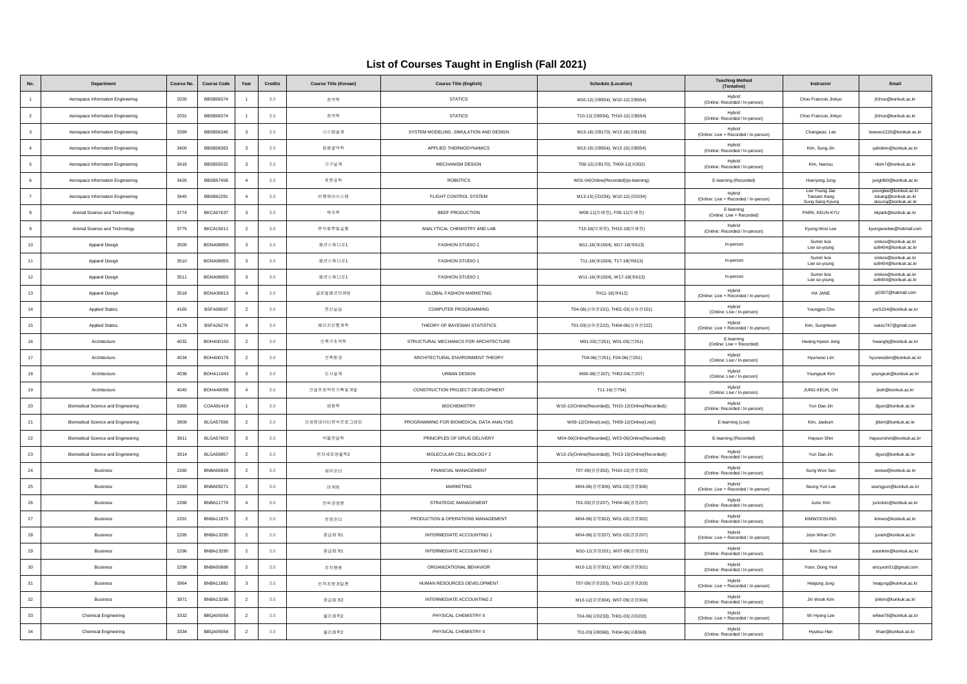## **List of Courses Taught in English (Fall 2021)**

|                         | Department                                | <b>Course No</b> | <b>Course Code</b> | Year                     | <b>Credits</b> | <b>Course Title (Korean)</b> | <b>Course Title (English)</b>            | <b>Schedule (Location)</b>                          | <b>Teaching Method</b><br>(Tentative)           | Instructor                                      | Email                                                               |
|-------------------------|-------------------------------------------|------------------|--------------------|--------------------------|----------------|------------------------------|------------------------------------------|-----------------------------------------------------|-------------------------------------------------|-------------------------------------------------|---------------------------------------------------------------------|
|                         | Aerospace Information Engineering         | 2030             | <b>BBSB06374</b>   | $\mathbf{1}$             | 3.0            | 정역학                          | <b>STATICS</b>                           | M10-12(공B554), W10-12(공B554)                        | Hybrid<br>(Online: Recorded / In-person)        | Choo Francois Jinkyo                            | jfchoo@konkuk.ac.kr                                                 |
| $\overline{2}$          | Aerospace Information Engineering         | 2031             | <b>BBSB06374</b>   | $\overline{1}$           | 3.0            | 정역학                          | <b>STATICS</b>                           | T10-12(공B554), TH10-12(공B554)                       | Hybrid<br>(Online: Recorded / In-person)        | Choo Francois Jinkyo                            | jfchoo@konkuk.ac.kr                                                 |
| $\overline{\mathbf{3}}$ | Aerospace Information Engineering         | 3399             | BBSB06346          | $\overline{\mathbf{3}}$  | 3.0            | 시스템설계                        | SYSTEM MODELING, SIMULATION AND DESIGN   | M13-16(공B170), W13-16(공B156)                        | Hybrid<br>(Online: Live + Recorded / In-person) | Changwoo, Lee                                   | leewoo1220@konkuk.ac.kr                                             |
| $\overline{4}$          | Aerospace Information Engineering         | 3400             | BBSB06363          | $\overline{\mathbf{3}}$  | 3.0            | 응용열역학                        | APPLIED THERMODYNAMICS                   | M13-15(공B554), W13-15(공B554)                        | Hybrid<br>(Online: Recorded / In-person)        | Kim, Sung-Jin                                   | vahokim@konkuk.ac.kr                                                |
| 5                       | Aerospace Information Engineering         | 3416             | <b>BBSB55532</b>   | $\overline{\mathbf{3}}$  | 3.0            | 가구설계                         | MECHANISM DESIGN                         | T09-12(공B170), TH09-12(새302)                        | Hybrid<br>(Online: Recorded / In-person)        | Kim, Namsu                                      | nkim7@konkuk.ac.kr                                                  |
| 6                       | Aerospace Information Engineering         | 3426             | <b>BBSB57458</b>   | $\overline{4}$           | 3.0            | 로봇공학                         | <b>ROBOTICS</b>                          | W01-04(Online(Recorded))(e-learning)                | E-learning (Recorded)                           | Hoeryong Jung                                   | junghl80@konkuk.ac.kr                                               |
| $\overline{7}$          | Aerospace Information Engineering         | 3445             | <b>BBSB62281</b>   | $\overline{4}$           | 3.0            | 비행제어시스템                      | FLIGHT CONTROL SYSTEM                    | M13-15(공D234), W10-12(공D234)                        | Hybrid<br>(Online: Live + Recorded / In-person) | Lee Young Jae<br>Taesam Kang<br>Sung Sang Kyung | vounglee@konkuk.ac.kr<br>tskang@konkuk.ac.kr<br>sksung@konkuk.ac.kr |
| 8                       | Animal Science and Technology             | 3774             | <b>BKCA07637</b>   | $\overline{\mathbf{3}}$  | 3.0            | 육우학                          | BEEF PRODUCTION                          | W09-11(미배정), F09-11(미배정)                            | E-learning<br>(Online: Live + Recorded)         | PARK, KEUN-KYU                                  | kkpark@konkuk.ac.kr                                                 |
| 9                       | Animal Science and Technology             | 3775             | <b>BKCA15011</b>   | $\overline{2}$           | 3.0            | 분석화학및실험                      | ANALYTICAL CHEMISTRY AND LAB             | T15-16(미배정), TH13-18(미배정)                           | Hybrid<br>(Online: Recorded / In-person)        | Kyung-Woo Lee                                   | kyungwoolee@hotmail.com                                             |
| $10\,$                  | Apparel Design                            | 3509             | <b>BGNA08855</b>   | $\overline{\mathbf{3}}$  | 3.0            | 패션스튜디오1                      | FASHION STUDIO 1                         | M11-16(예1004), M17-18(예613)                         | In-person                                       | Sumin koo<br>Lee so-young                       | smkoo@konkuk.ac.kr<br>so8404@konkuk.ac.kr                           |
| 11                      | Apparel Design                            | 3510             | <b>BGNA08855</b>   | $\overline{\mathbf{3}}$  | 3.0            | 패션스튜디오1                      | FASHION STUDIO 1                         | T11-16(예1004), T17-18(예613)                         | In-person                                       | Sumin koo<br>Lee so-young                       | smkoo@konkuk.ac.kr<br>so8404@konkuk.ac.kr                           |
| $12\,$                  | Apparel Design                            | 3511             | <b>BGNA08855</b>   | $\overline{\mathbf{3}}$  | 3.0            | 패션스튜디오1                      | FASHION STUDIO 1                         | W11-16(예1004), W17-18(예613)                         | In-person                                       | Sumin koo<br>Lee so-young                       | smkoo@konkuk.ac.kr<br>so8404@konkuk.ac.kr                           |
| 13                      | Apparel Design                            | 3518             | BGNA39613          | $\overline{4}$           | 3.0            | 글로벌패션마케팅                     | <b>GLOBAL FASHION MARKETING</b>          | TH11-16(0 412)                                      | Hybrid<br>(Online: Live + Recorded / In-person) | HA JANE                                         | js0307@hatmail.com                                                  |
| 14                      | <b>Applied Statics</b>                    | 4165             | <b>BSFA06697</b>   | $\overline{2}$           | 3.0            | 전산실습                         | COMPUTER PROGRAMMING                     | T04-06(상허관101), TH01-03(상허관101)                     | Hybrid<br>(Online: Live / In-person)            | Youngjoo Cho                                    | yvc5154@konkuk.ac.kr                                                |
| 15                      | <b>Applied Statics</b>                    | 4179             | <b>BSFA26274</b>   | $\overline{4}$           | 3.0            | 베이지안동계학                      | THEORY OF BAYESIAN STATISTICS            | T01-03(상허관222), TH04-06(상허관222)                     | Hybrid<br>(Online: Live + Recorded / In-person) | Kim, SungHwan                                   | swiss747@gmail.com                                                  |
| 16                      | Architecture                              | 4032             | BOHA00150          | $\overline{2}$           | 3.0            | 건축구조역학                       | STRUCTURAL MECHANICS FOR ARCHITECTURE    | M01-03(건251), W01-03(건251)                          | E-learning<br>(Online: Live + Recorded)         | Hwang Hyeon Jong                                | hwanghj@konkuk.ac.kr                                                |
| 17                      | Architecture                              | 4034             | <b>BOHA00179</b>   | $\overline{2}$           | 3.0            | 건축환경                         | ARCHITECTURAL ENVIRONMENT THEORY         | T04-06(건251), F04-06(건251)                          | Hybrid<br>(Online: Live / In-person)            | Hyunwoo Lim                                     | hvunwoolim@konkuk.ac.kr                                             |
| $18\,$                  | Architecture                              | 4038             | BOHA11943          | $\overline{\mathbf{3}}$  | 3.0            | 도시설계                         | <b>URBAN DESIGN</b>                      | M06-08(건207), TH02-04(건207)                         | Hybrid<br>(Online: Live / In-person)            | Youngsuk Kim                                    | youngsuk@konkuk.ac.kr                                               |
| 19                      | Architecture                              | 4040             | <b>BOHA49098</b>   | $\overline{4}$           | 3.0            | 건설프로젝트기획및개발                  | CONSTRUCTION PROJECT DEVELOPMENT         | T11-16(건754)                                        | Hybrid<br>(Online: Live / In-person)            | JUNG KEUN, OH                                   | ikoh@konkuk.ac.kr                                                   |
| $20\,$                  | <b>Biomedical Science and Engineering</b> | 0365             | COAA81418          | $\overline{1}$           | 3.0            | 생화학                          | <b>BIOCHEMISTRY</b>                      | W10-12(Online(Recorded)), TH10-12(Online(Recorded)) | Hybrid<br>(Online: Recorded / In-person)        | Yun Dae-Jin                                     | djyun@konkuk.ac.kr                                                  |
| 21                      | Biomedical Science and Engineering        | 3909             | <b>BLGA57596</b>   | $\overline{2}$           | 3.0            | 의생명데이터분석프로그래밍                | PROGRAMMING FOR BIOMEDICAL DATA ANALYSIS | W09-12(Online(Live)), TH09-12(Online(Live))         | E-learning (Live)                               | Kim, Jaebum                                     | ibkim@konkuk.ac.kr                                                  |
| 22                      | <b>Biomedical Science and Engineering</b> | 3911             | <b>BLGA57603</b>   | $\overline{\mathbf{3}}$  | 3.0            | 약물전달학                        | PRINCIPLES OF DRUG DELIVERY              | M04-06(Online(Recorded)), W03-05(Online(Recorded))  | E-learning (Recorded)                           | Hayoun Shin                                     | hayounshin@konkuk.ac.kr                                             |
| $23\,$                  | <b>Biomedical Science and Engineering</b> | 3914             | <b>BLGA58957</b>   | $\overline{2}$           | 3.0            | 분자세포생물학2                     | MOLECULAR CELL BIOLOGY 2                 | W13-15(Online(Recorded)), TH13-15(Online(Recorded)) | Hybrid<br>(Online: Recorded / In-person)        | Yun Dae-Jin                                     | djyun@konkuk.ac.kr                                                  |
| 24                      | <b>Business</b>                           | 2280             | <b>BNBA06828</b>   | $\overline{2}$           | 3.0            | 자무관리                         | FINANCIAL MANAGEMENT                     | T07-09(경영302), TH10-12(경영302)                       | Hybrid<br>(Online: Recorded / In-person)        | Sung Won Seo                                    | seosw@konkuk.ac.kr                                                  |
| $25\,$                  | <b>Business</b>                           | 2283             | <b>BNBA09271</b>   | $\overline{2}$           | 3.0            | 마케팅                          | <b>MARKETING</b>                         | M04-06(경영306), W01-03(경영306)                        | Hybrid<br>(Online: Live + Recorded / In-person) | Seung Yun Lee                                   | seungyun@konkuk.ac.kr                                               |
| ${\bf 26}$              | <b>Business</b>                           | 2288             | <b>BNBA11778</b>   | $\overline{4}$           | 3.0            | 전략경영론                        | STRATEGIC MANAGEMENT                     | T01-03(경영207), TH04-06(경영207)                       | Hybrid<br>(Online: Recorded / In-person)        | Junic Kim                                       | junickim@konkuk.ac.kr                                               |
| $27\,$                  | <b>Business</b>                           | 2291             | <b>BNBA11875</b>   | $\overline{2}$           | 3.0            | 운영관리                         | PRODUCTION & OPERATIONS MANAGEMENT       | M04-06(경영302), W01-03(경영302)                        | Hybrid<br>(Online: Recorded / In-person)        | <b>KIMWOOSUNG</b>                               | kimws@konkuk.ac.kr                                                  |
| ${\bf 28}$              | <b>Business</b>                           | 2295             | <b>BNBA13295</b>   | $\overline{2}$           | 3.0            | 중급회계1                        | INTERMEDIATE ACCOUNTING 1                | M04-06(경영207), W01-03(경영207)                        | Hybrid<br>(Online: Live + Recorded / In-person) | Joon Whan Oh                                    | juneh@konkuk.ac.kr                                                  |
| $29\,$                  | Business                                  | 2296             | <b>BNBA13295</b>   | $\overline{\phantom{a}}$ | $3.0\,$        | 종급회계1                        | INTERMEDIATE ACCOUNTING 1                | M10-12(경영201), W07-09(경영201)                        | Hybrid<br>(Online: Recorded / In-person)        | Kim Soo In                                      | sooinkim@konkuk.ac.kr                                               |
| 30                      | <b>Business</b>                           | 2298             | <b>BNBA50888</b>   | $\overline{2}$           | 3.0            | 조직행동                         | ORGANIZATIONAL BEHAVIOR                  | M10-12(경영301), W07-09(경영301)                        | Hybrid<br>(Online: Recorded / In-person)        | Yoon, Dong Yeol                                 | ericyoon01@gmail.com                                                |
| 31                      | Business                                  | 3964             | <b>BNBA11881</b>   | $\overline{\mathbf{3}}$  | 3.0            | 인적자원개발론                      | HUMAN RESOURCES DEVELOPMENT              | T07-09(경영203), TH10-12(경영203)                       | Hybrid<br>(Online: Live + Recorded / In-person) | Heajung Jung                                    | heajung@konkuk.ac.kr                                                |
| 32                      | <b>Business</b>                           | 3971             | <b>BNBA13296</b>   | $\overline{2}$           | 3.0            | 종급회계2                        | INTERMEDIATE ACCOUNTING 2                | M10-12(경영304), W07-09(경영304)                        | Hybrid<br>(Online: Recorded / In-person)        | Jin Wook Kim                                    | jinkim@konkuk.ac.kr                                                 |
| 33                      | Chemical Engineering                      | 3332             | <b>BBQA05556</b>   | $\overline{2}$           | 3.0            | 물리화학2                        | PHYSICAL CHEMISTRY II                    | T04-06(공D233), TH01-03(공D233)                       | Hybrid<br>(Online: Live + Recorded / In-person) | Wi Hyong Lee                                    | whlee78@konkuk.ac.kr                                                |
| 34                      | Chemical Engineering                      | 3334             | <b>BBQA05556</b>   | $\overline{2}$           | 3.0            | 물리화학2                        | PHYSICAL CHEMISTRY II                    | T01-03(买B368), TH04-06(买B368)                       | Hybrid<br>(Online: Recorded / In-person)        | Hyuksu Han                                      | hhan@konkuk.ac.kr                                                   |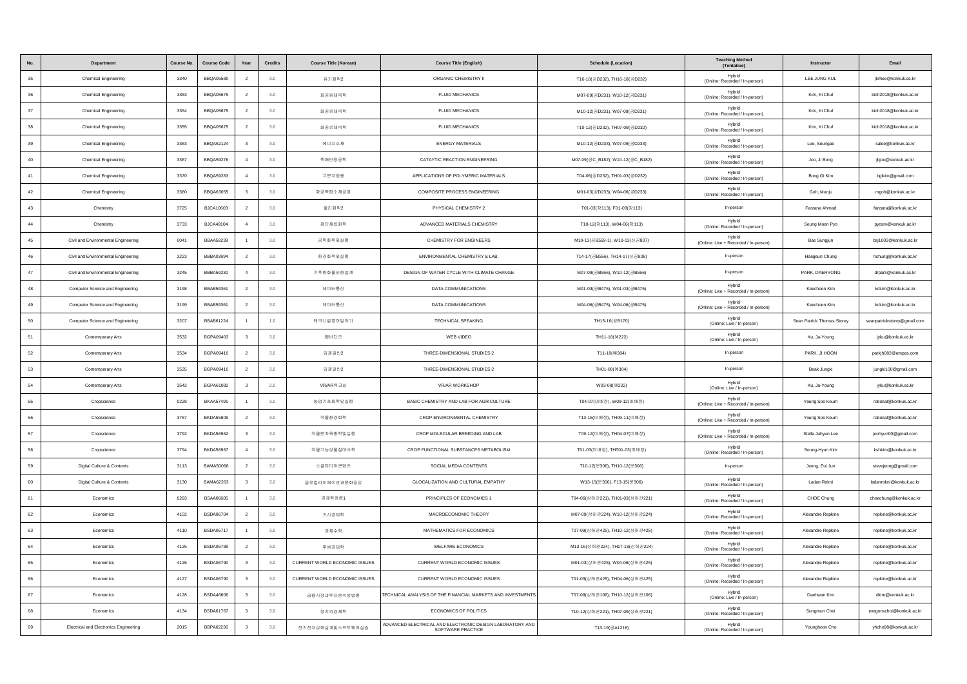| <b>No</b>   | Department                             | Course No. | <b>Course Code</b> | Year                    | Credits | <b>Course Title (Korean)</b>  | <b>Course Title (English)</b>                                                 | <b>Schedule (Location)</b>       | <b>Teaching Method</b><br>(Tentative)           | Instructor                 | Email                       |
|-------------|----------------------------------------|------------|--------------------|-------------------------|---------|-------------------------------|-------------------------------------------------------------------------------|----------------------------------|-------------------------------------------------|----------------------------|-----------------------------|
| 35          | <b>Chemical Engineering</b>            | 3340       | BBQA05580          | $\overline{2}$          | 3.0     | 유기화학2                         | ORGANIC CHEMISTRY II                                                          | T16-18(공D232), TH16-18(공D232)    | Hybrid<br>(Online: Recorded / In-person)        | LEE JUNG KUL               | jkrhee@konkuk.ac.kr         |
| $36\,$      | Chemical Engineering                   | 3353       | <b>BBQA05675</b>   | $\overline{2}$          | 3.0     | 화공유체역학                        | FLUID MECHANICS                                                               | M07-09(공D231), W10-12(공D231)     | Hybrid<br>(Online: Recorded / In-person)        | Kim, Ki Chul               | kich2018@konkuk.ac.kr       |
| 37          | Chemical Engineering                   | 3354       | <b>BBQA05675</b>   | $\overline{2}$          | 3.0     | 화공유체역학                        | <b>FLUID MECHANICS</b>                                                        | M10-12(공D231), W07-09(공D231)     | Hybrid<br>(Online: Recorded / In-person)        | Kim, Ki Chul               | kich2018@konkuk.ac.kr       |
| $38\,$      | Chemical Engineering                   | 3355       | <b>BBQA05675</b>   | $\overline{2}$          | 3.0     | 화공유체역학                        | <b>FLUID MECHANICS</b>                                                        | T10-12(공D232), TH07-09(공D232)    | Hybrid<br>(Online: Recorded / In-person)        | Kim, Ki Chul               | kich2018@konkuk.ac.kr       |
| 39          | Chemical Engineering                   | 3363       | <b>BBQA52124</b>   | $\overline{\mathbf{3}}$ | 3.0     | 에너지소재                         | <b>ENERGY MATERIALS</b>                                                       | M10-12(공D233), W07-09(공D233)     | Hybrid<br>(Online: Recorded / In-person)        | Lee, Seungae               | salee@konkuk.ac.kr          |
| 40          | Chemical Engineering                   | 3367       | <b>BBQA59276</b>   | $\overline{4}$          | 3.0     | 촉매반응공학                        | CATAYTIC REACTION ENGINEERING                                                 | M07-09(공C_B182), W10-12(공C_B182) | Hybrid<br>(Online: Recorded / In-person)        | Joo, Ji Bona               | ibioo@konkuk.ac.kr          |
| 41          | Chemical Engineering                   | 3370       | <b>BBQA59283</b>   | $\overline{4}$          | 3.0     | 고분자응용                         | APPLICATIONS OF POLYMERIC MATERIALS                                           | T04-06(공D232), TH01-03(공D232)    | Hybrid<br>(Online: Recorded / In-person)        | Bong Gi Kim                | bgikim@gmail.com            |
| 42          | Chemical Engineering                   | 3380       | <b>BBQA63055</b>   | $\overline{\mathbf{3}}$ | 3.0     | 화공복합소재공정                      | COMPOSITE PROCESS ENGINEERING                                                 | M01-03(공D233), W04-06(공D233)     | Hybrid<br>(Online: Recorded / In-person)        | Goh, Munju                 | mgoh@konkuk.ac.kr           |
| 43          | Chemistry                              | 3725       | <b>BJCA10603</b>   | $\overline{2}$          | 3.0     | 물리화학2                         | PHYSICAL CHEMISTRY 2                                                          | T01-03(창113), F01-03(창113)       | In-person                                       | Farzana Ahmad              | farzana@konkuk.ac.kr        |
| 44          | Chemistry                              | 3733       | <b>BJCA49104</b>   | $\overline{4}$          | 3.0     | 첨단재료화학                        | ADVANCED MATERIALS CHEMISTRY                                                  | T10-12(창113), W04-06(창113)       | Hybrid<br>(Online: Recorded / In-person)        | Seung Moon Pyo             | pyosm@konkuk.ac.kr          |
| 45          | Civil and Environmental Engineering    | 0041       | <b>BBAA59239</b>   |                         | 3.0     | 공학화학및실험                       | CHEMISTRY FOR ENGINEERS                                                       | M10-13(공B559-1), W10-13(신공807)   | Hybrid<br>(Online: Live + Recorded / In-person) | Bae Sungjun                | bsj1003@konkuk.ac.kr        |
| 46          | Civil and Environmental Engineering    | 3223       | BBBA03994          | $\overline{2}$          | 3.0     | 환경화학및실험                       | ENVIRONMENTAL CHEMISTRY & LAB.                                                | T14-17(공B556), TH14-17(신공808)    | In-person                                       | Haegeun Chung              | hchung@konkuk.ac.kr         |
| 47          | Civil and Environmental Engineering    | 3245       | BBBA59230          | $\overline{4}$          | 3.0     | 기후변화물순환설계                     | DESIGN OF WATER CYCLE WITH CLIMATE CHANGE                                     | M07-09(공B556), W10-12(공B556)     | In-person                                       | PARK, DAERYONG             | drpark@konkuk.ac.kr         |
| 48          | Computer Science and Engineering       | 3198       | BBAB59361          | $\overline{2}$          | 3.0     | 데이터통신                         | <b>DATA COMMUNICATIONS</b>                                                    | M01-03(공B475), W01-03(공B475)     | Hybrid<br>(Online: Live + Recorded / In-person) | Keechoen Kim               | kckim@konkuk.ac.kr          |
| 49          | Computer Science and Engineering       | 3199       | BBAB59361          | $\overline{2}$          | 3.0     | 데이터통신                         | DATA COMMUNICATIONS                                                           | M04-06(공B475), W04-06(공B475)     | Hybrid<br>(Online: Live + Recorded / In-person) | Keechoen Kim               | kckim@konkuk.ac.kr          |
| 50          | Computer Science and Engineering       | 3207       | <b>BBAB61224</b>   |                         | 1.0     | 테크니컬영어말하기                     | <b>TECHNICAL SPEAKING</b>                                                     | TH15-16(공B170)                   | Hybrid<br>(Online: Live / In-person)            | Sean Patrick Thomas Storev | seanpatrickstorey@gmail.com |
| 51          | Contemporary Arts                      | 3532       | <b>BGPA09403</b>   | $\overline{\mathbf{3}}$ | 3.0     | 웹비디오                          | WEB VIDEO                                                                     | TH11-18(예222)                    | Hybrid<br>(Online: Live / In-person)            | Ku, Ja-Young               | jyku@konkuk.ac.kr           |
| 52          | Contemporary Arts                      | 3534       | BGPA09410          | $\overline{2}$          | 3.0     | 입체일반2                         | THREE-DIMENSIONAL STUDIES 2                                                   | T11-18(예304)                     | In-person                                       | PARK, JI HOON              | parkjh082@empas.com         |
| 53          | Contemporary Arts                      | 3535       | BGPA09410          | $\overline{2}$          | 3.0     | 입체일반2                         | THREE-DIMENSIONAL STUDIES 2                                                   | TH01-08(예304)                    | In-person                                       | Beak Jungki                | jungki100@gmail.com         |
| 54          | Contemporary Arts                      | 3542       | BGPA61082          | $\overline{\mathbf{3}}$ | 2.0     | VR/AR워크샵                      | <b>VR/AR WORKSHOP</b>                                                         | W03-08(예222)                     | Hybrid<br>(Online: Live / In-person)            | Ku, Ja-Young               | jyku@konkuk.ac.kr           |
| 55          | Cropscience                            | 0228       | <b>BKAA57491</b>   | $\overline{1}$          | 3.0     | 농업기초화학및실험                     | BASIC CHEMISTRY AND LAB FOR AGRICULTURE                                       | T04-07(미배정), W09-12(미배정)         | Hybrid<br>(Online: Live + Recorded / In-person) | Young Soo Keum             | rational@konkuk.ac.kr       |
| 56          | Cropscience                            | 3787       | <b>BKDA55809</b>   | $\overline{2}$          | 3.0     | 작물환경화학                        | CROP ENVIRONMENTAL CHEMISTRY                                                  | T13-15(미배정), TH09-11(미배정)        | Hybrid<br>(Online: Live + Recorded / In-person) | Young Soo Keum             | rational@konkuk.ac.kr       |
| 57          | Cropscience                            | 3792       | <b>BKDA58962</b>   | $\overline{\mathbf{3}}$ | 3.0     | 작물분자육종학및실험                    | CROP MOLECULAR BREEDING AND LAB                                               | T09-12(미배정), TH04-07(미배정)        | Hybrid<br>(Online: Live + Recorded / In-person) | Stella Juhyun Lee          | joohyun00@gmail.com         |
| $^{\rm 58}$ | Cropscience                            | 3794       | <b>BKDA58967</b>   | $\overline{4}$          | 3.0     | 작물기능성물질대사학                    | CROP FUNCTIONAL SUBSTANCES METABOLISM                                         | T01-03(미배정), THT01-03(미배정)       | Hybrid<br>(Online: Recorded / In-person)        | Seung-Hyun Kim             | kshkim@konkuk.ac.kr         |
| 59          | Digital Culture & Contents             | 3113       | <b>BAMA50068</b>   | $\overline{2}$          | 3.0     | 소셜미디어콘텐츠                      | SOCIAL MEDIA CONTENTS                                                         | T10-12(문306), TH10-12(문306)      | In-person                                       | Jeong, Eui Jun             | stevejeong@gmail.com        |
| 60          | Digital Culture & Contents             | 3130       | BAMA62263          | $\overline{\mathbf{3}}$ | 3.0     | 글로컬라이제이션과문화공감                 | GLOCALIZATION AND CULTURAL EMPATHY                                            | W13-15(문306), F13-15(문306)       | Hybrid<br>(Online: Recorded / In-person)        | Ladan Rokni                | ladanrokni@konkuk.ac.kr     |
| 61          | Economics                              | 0293       | <b>BSAA06685</b>   | $\overline{1}$          | 3.0     | 경제학원론1                        | PRINCIPLES OF ECONOMICS 1                                                     | T04-06(상허관221), TH01-03(상허관221)  | Hybrid<br>(Online: Recorded / In-person)        | CHOE Chung                 | choechung@konkuk.ac.kr      |
| 62          | Economics                              | 4102       | <b>BSDA06704</b>   | $\overline{2}$          | 3.0     | 거시경제학                         | MACROECONOMIC THEORY                                                          | M07-09(상허관224), W10-12(상허관224)   | Hybrid<br>(Online: Recorded / In-person)        | Alexandre Repkine          | repkine@konkuk.ac.kr        |
| 63          | Economics                              | 4110       | <b>BSDA06717</b>   |                         | 3.0     | 경제수학                          | MATHEMATICS FOR ECONOMICS                                                     | T07-09(상허관425), TH10-12(상허관425)  | Hybrid<br>(Online: Recorded / In-person)        | Alexandre Repkine          | repkine@konkuk.ac.kr        |
| 64          | Economics                              | 4125       | <b>BSDA06789</b>   | $\overline{2}$          | 3.0     | 후생경제학                         | <b>WELFARE ECONOMICS</b>                                                      | M13-16(상허관224), TH17-18(상허관224)  | Hybrid<br>(Online: Recorded / In-person)        | Alexandre Repkine          | repkine@konkuk.ac.kr        |
| 65          | Economics                              | 4126       | <b>BSDA06790</b>   | $\overline{\mathbf{3}}$ | $3.0\,$ | CURRENT WORLD ECONOMIC ISSUES | CURRENT WORLD ECONOMIC ISSUES                                                 | M01-03(상허관425), W04-06(상허관425)   | Hybrid<br>(Online: Recorded / In-person)        | Alexandre Repkine          | repkine@konkuk.ac.kr        |
| 66          | Economics                              | 4127       | <b>BSDA06790</b>   | $\overline{\mathbf{3}}$ | 3.0     | CURRENT WORLD ECONOMIC ISSUES | CURRENT WORLD ECONOMIC ISSUES                                                 | T01-03(상허관425), TH04-06(상허관425)  | Hybrid<br>(Online: Recorded / In-person)        | Alexandre Repkine          | repkine@konkuk.ac.kr        |
| 67          | Economics                              | 4128       | <b>BSDA46606</b>   | $\overline{\mathbf{3}}$ | 3.0     | 금융시장과투자분석방법론                  | <b>FECHNICAL ANALYSIS OF THE FINANCIAL MARKETS AND INVESTMENTS</b>            | T07-09(상허관106), TH10-12(상허관106)  | Hybrid<br>(Online: Live / In-person)            | Daehwan Kim                | dkim@konkuk.ac.kr           |
| 68          | Economics                              | 4134       | <b>BSDA61767</b>   | $\mathbf{3}$            | 3.0     | 정치의경제학                        | <b>ECONOMICS OF POLITICS</b>                                                  | T10-12(상허관221), TH07-09(상허관221)  | Hybrid<br>(Online: Recorded / In-person)        | Sungmun Choi               | evegonschoi@konkuk.ac.kr    |
| 69          | Electrical and Electronics Engineering | 2015       | BBPA62236          | $\overline{\mathbf{3}}$ | 3.0     | 전기전자심화설계및소프트웨어실습              | ADVANCED ELECTRICAL AND ELECTRONIC DESIGN LABORATORY AND<br>SOFTWARE PRACTICE | T13-19(공A1218)                   | Hybrid<br>(Online: Recorded / In-person)        | Younghoon Cho              | yhcho98@konkuk.ac.kr        |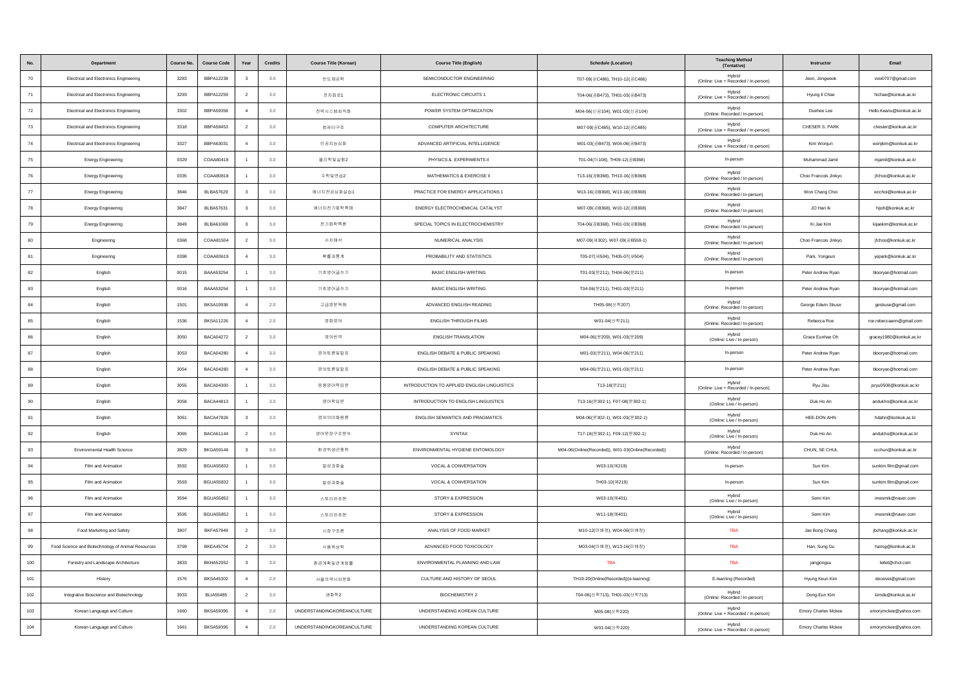|        | Department                                         | <b>Course No</b> | <b>Course Code</b> | Year                    | Credits | <b>Course Title (Korean)</b>      | <b>Course Title (English)</b>               | <b>Schedule (Location)</b>                         | <b>Teaching Method</b><br>(Tentative)           | Instructo            | Email                    |
|--------|----------------------------------------------------|------------------|--------------------|-------------------------|---------|-----------------------------------|---------------------------------------------|----------------------------------------------------|-------------------------------------------------|----------------------|--------------------------|
| 70     | <b>Electrical and Electronics Engineering</b>      | 3283             | <b>BBPA12238</b>   | $\overline{\mathbf{3}}$ | 3.0     | 반도체공학                             | SEMICONDUCTOR ENGINEERING                   | T07-09(공C486), TH10-12(공C486)                      | Hybrid<br>(Online: Live + Recorded / In-person) | Jeon, Jongwook       | voix0707@gmail.com       |
| 71     | Electrical and Electronics Engineering             | 3293             | <b>BBPA12259</b>   | $\overline{2}$          | 3.0     | 전자회로1                             | ELECTRONIC CIRCUITS 1                       | T04-06(공B473), TH01-03(공B473)                      | Hybrid<br>(Online: Live + Recorded / In-person) | Hyung II Chae        | hichae@konkuk.ac.kr      |
| 72     | <b>Electrical and Electronics Engineering</b>      | 3302             | <b>BBPA59358</b>   | $\overline{4}$          | 3.0     | 전력시스템최적화                          | POWER SYSTEM OPTIMIZATION                   | M04-06(신공104), W01-03(신공104)                       | Hybrid<br>(Online: Recorded / In-person)        | Duehee Lee           | Hello.Keanu@konkuk.ac.kr |
| 73     | <b>Electrical and Electronics Engineering</b>      | 3318             | BBPA59453          | $\overline{2}$          | 3.0     | 컴퓨터구조                             | COMPUTER ARCHITECTURE                       | M07-09(공C485), W10-12(공C485)                       | Hybrid<br>(Online: Live + Recorded / In-person) | CHESER S. PARK       | chester@konkuk.ac.kr     |
| 74     | Electrical and Electronics Engineering             | 3327             | BBPA63031          | $\overline{4}$          | 3.0     | 인공지능심화                            | ADVANCED ARTIFICIAL INTELLIGENCE            | M01-03(공B473), W04-06(공B473)                       | Hybrid<br>(Online: Live + Recorded / In-person) | Kim Wonjun           | wonjkim@konkuk.ac.kr     |
| 75     | <b>Energy Engineering</b>                          | 0329             | COAA80418          | $\overline{1}$          | 3.0     | 물리학및실험2                           | PHYSICS & EXPERIMENTS II                    | T01-04(0108), TH09-12(공B368)                       | In-person                                       | Muhammad Jamil       | miamil@konkuk.ac.kr      |
| 76     | <b>Energy Engineering</b>                          | 0335             | COAA80818          |                         | 3.0     | 수학및연습2                            | MATHEMATICS & EXERCISE II                   | T13-16(공B368), TH13-16(공B368)                      | Hybrid<br>(Online: Recorded / In-person)        | Choo Francois Jinkyo | jfchoo@konkuk.ac.kr      |
| $77\,$ | <b>Energy Engineering</b>                          | 3846             | <b>BLBA57629</b>   | $\overline{\mathbf{3}}$ | 3.0     | 에너지전공심화실습1                        | PRACTICE FOR ENERGY APPLICATIONS 1          | M13-16(공B368), W13-16(공B368)                       | Hybrid<br>(Online: Recorded / In-person)        | Won Chang Choi       | wcchoi@konkuk.ac.kr      |
| 78     | <b>Energy Engineering</b>                          | 3847             | <b>BLBA57631</b>   | $\overline{\mathbf{3}}$ | 3.0     | 에너지전기화학측매                         | ENERGY ELECTROCHEMICAL CATALYST             | M07-09(공B368), W10-12(공B368)                       | Hybrid<br>(Online: Recorded / In-person)        | JO Han Ik            | hijoh@konkuk.ac.kr       |
| 79     | <b>Energy Engineering</b>                          | 3849             | BLBA61069          | $\mathbf{3}$            | 3.0     | 전기화학특론                            | SPECIAL TOPICS IN ELECTROCHEMISTRY          | T04-06(공B368), TH01-03(공B368)                      | Hybrid<br>(Online: Recorded / In-person)        | Ki Jae Kim           | kijaekim@konkuk.ac.kr    |
| 80     | Engineering                                        | 0368             | COAA81504          | $\overline{2}$          | 3.0     | 수치해석                              | NUMERICAL ANALYSIS                          | M07-09(새302), W07-09(공B559-1)                      | Hybrid<br>(Online: Recorded / In-person)        | Choo Francois Jinkyo | jfchoo@konkuk.ac.kr      |
| 81     | Engineering                                        | 0398             | COAA83619          | $\overline{4}$          | 3.0     | 확률과통계                             | PROBABILITY AND STATISTICS                  | T05-07(州504), TH05-07(州504)                        | Hybrid<br>(Online: Recorded / In-person)        | Park, Yongeun        | yepark@konkuk.ac.kr      |
| 82     | English                                            | 0015             | <b>BAAA53254</b>   |                         | 3.0     | 기초영어글쓰기                           | <b>BASIC ENGLISH WRITING</b>                | T01-03(문211), TH04-06(문211)                        | In-person                                       | Peter Andrew Ryan    | blooryan@hotmail.com     |
| 83     | English                                            | 0016             | BAAA53254          | $\overline{1}$          | 3.0     | 기초영어글쓰기                           | <b>BASIC ENGLISH WRITING</b>                | T04-06(문211), TH01-03(문211)                        | In-person                                       | Peter Andrew Ryan    | blooryan@hotmail.com     |
| 84     | English                                            | 1501             | <b>BKSA10936</b>   | $\overline{4}$          | 2.0     | 고급영문독해                            | ADVANCED ENGLISH READING                    | TH05-08(산학207)                                     | Hybrid<br>(Online: Recorded / In-person)        | George Edwin Skuse   | geskuse@gmail.com        |
| 85     | English                                            | 1536             | <b>BKSA11226</b>   | $\overline{4}$          | 2.0     | 영화영어                              | <b>ENGLISH THROUGH FILMS</b>                | W01-04(산학211)                                      | Hybrid<br>(Online: Recorded / In-person)        | Rebecca Roe          | roe.rebeccaann@gmail.com |
| 86     | English                                            | 3050             | <b>BACA04272</b>   | $\overline{2}$          | 3.0     | 영어번역                              | <b>ENGLISH TRANSLATION</b>                  | M04-06(문209), W01-03(문209)                         | Hybrid<br>(Online: Live / In-person)            | Grace Eunhae Oh      | gracey1980@konkuk.ac.kr  |
| 87     | English                                            | 3053             | <b>BACA04280</b>   | $\overline{4}$          | 3.0     | 영어토론및발표                           | ENGLISH DEBATE & PUBLIC SPEAKING            | M01-03(문211), W04-06(문211)                         | In-person                                       | Peter Andrew Ryan    | blooryan@hotmail.com     |
| 88     | English                                            | 3054             | <b>BACA04280</b>   | $\overline{4}$          | 3.0     | 영어토론및발표                           | ENGLISH DEBATE & PUBLIC SPEAKING            | M04-06(문211), W01-03(문211)                         | In-person                                       | Peter Andrew Ryan    | blooryan@hotmail.com     |
| 89     | English                                            | 3055             | <b>BACA04300</b>   | $\overline{1}$          | 3.0     | 응용영어학입문                           | INTRODUCTION TO APPLIED ENGLISH LINGUISTICS | T13-18(문211)                                       | Hybrid<br>(Online: Live + Recorded / In-person) | Rvu Jisu             | jsryu0508@konkuk.ac.kr   |
| 90     | English                                            | 3058             | <b>BACA44813</b>   | $\overline{1}$          | 3.0     | 영어학입문                             | INTRODUCTION TO ENGLISH LINGUISTICS         | T13-16(문302-1), F07-08(문302-1)                     | Hybrid<br>(Online: Live / In-person)            | Duk-Ho An            | andukho@konkuk.ac.kr     |
| 91     | English                                            | 3061             | <b>BACA47926</b>   | $\overline{\mathbf{3}}$ | 3.0     | 영어의미화용론                           | ENGLISH SEMANTICS AND PRAGMATICS            | M04-06(문302-1), W01-03(문302-1)                     | Hybrid<br>(Online: Live / In-person)            | HEE-DON AHN          | hdahn@konkuk.ac.kr       |
| 92     | English                                            | 3065             | <b>BACA61144</b>   | $\overline{2}$          | 3.0     | 영어문장구조분석                          | SYNTAX                                      | T17-18(문302-1), F09-12(문302-1)                     | Hybrid<br>(Online: Live / In-person)            | Duk-Ho An            | andukho@konkuk.ac.kr     |
| 93     | Environmental Health Science                       | 3829             | <b>BKGA59146</b>   | $\overline{\mathbf{3}}$ | 3.0     | 환경위생곤충학                           | ENVIRONMENTAL HYGIENE ENTOMOLOGY            | M04-06(Online(Recorded)), W01-03(Online(Recorded)) | Hybrid<br>(Online: Recorded / In-person)        | CHUN, SE CHUL        | scchun@konkuk.ac.kr      |
| 94     | Film and Animation                                 | 3592             | <b>BGUA55832</b>   |                         | 3.0     | 발성과화술                             | VOCAL & CONVERSATION                        | W03-10(예219)                                       | In-person                                       | Sun Kim              | sunkim.film@gmail.com    |
| 95     | Film and Animation                                 | 3593             | <b>BGUA55832</b>   |                         | 3.0     | 발성과화술                             | VOCAL & CONVERSATION                        | TH03-10(예219)                                      | In-person                                       | Sun Kim              | sunkim.film@gmail.com    |
| 96     | Film and Animation                                 | 3594             | <b>BGUA55852</b>   | $\overline{1}$          | 3.0     | 스토리와표현                            | STORY & EXPRESSION                          | W03-10(예401)                                       | Hybrid<br>(Online: Live / In-person)            | Semi Kim             | imesmik@naver.com        |
| 97     | Film and Animation                                 | 3595             | <b>BGUA55852</b>   | $\overline{1}$          | 3.0     | 스토리와표현                            | STORY & EXPRESSION                          | W11-18(0 401)                                      | Hybrid<br>(Online: Live / In-person)            | Semi Kim             | imesmik@naver.com        |
| 98     | Food Marketing and Safety                          | 3807             | <b>BKFA57849</b>   | $\overline{2}$          | 3.0     | 시장구조론                             | ANALYSIS OF FOOD MARKET                     | M10-12(미배정), W04-06(미배정)                           | <b>TBA</b>                                      | Jae Bong Chang       | jbchang@konkuk.ac.kr     |
| 99     | Food Science and Biotechnology of Animal Resources | 3799             | <b>BKEA45704</b>   | $\overline{2}$          | 3.0     | 식품독성학                             | ADVANCED FOOD TOXICOLOGY                    | M03-04(미배정), W13-16(미배정)                           | TBA                                             | Han, Sung Gu         | hansg@konkuk.ac.kr       |
| 100    | Forestry and Landscape Architecture                | 3833             | <b>BKHA52052</b>   | $\overline{\mathbf{3}}$ | 3.0     | 환경계획및관계법률                         | ENVIRONMENTAL PLANNING AND LAW              | TBA                                                | TBA                                             | jangjongsu           | letlet@chol.com          |
| 101    | History                                            | 1576             | <b>BKSA45302</b>   | $\overline{4}$          | 2.0     | 서울의역사와문화                          | CULTURE AND HISTORY OF SEOUL                | TH19-20(Online(Recorded))(e-learning)              | E-learning (Recorded)                           | Hyung Keun Kim       | deceivei@gmail.com       |
| 102    | Integrative Bioscience and Biotechnology           | 3933             | <b>BLIA55485</b>   | $\overline{2}$          | 3.0     | 생화학2                              | <b>BIOCHEMISTRY 2</b>                       | T04-06(산학713), TH01-03(산학713)                      | Hybrid<br>(Online: Recorded / In-person)        | Dong-Eun Kim         | kimde@konkuk.ac.kr       |
| 103    | Korean Language and Culture                        | 1660             | <b>BKSA59395</b>   | $\overline{4}$          | 2.0     | <b>UNDERSTANDINGKOREANCULTURE</b> | UNDERSTANDING KOREAN CULTURE                | M05-08(산학220)                                      | Hybrid<br>(Online: Live + Recorded / In-person) | Emory Charles Mckee  | emorymckee@yahoo.com     |
| 104    | Korean Language and Culture                        | 1661             | <b>BKSA59395</b>   | $\overline{a}$          | 2.0     | <b>UNDERSTANDINGKOREANCULTURE</b> | UNDERSTANDING KOREAN CULTURE                | W01-04(산학220)                                      | Hybrid<br>(Online: Live + Recorded / In-person) | Emory Charles Mckee  | emorymckee@yahoo.com     |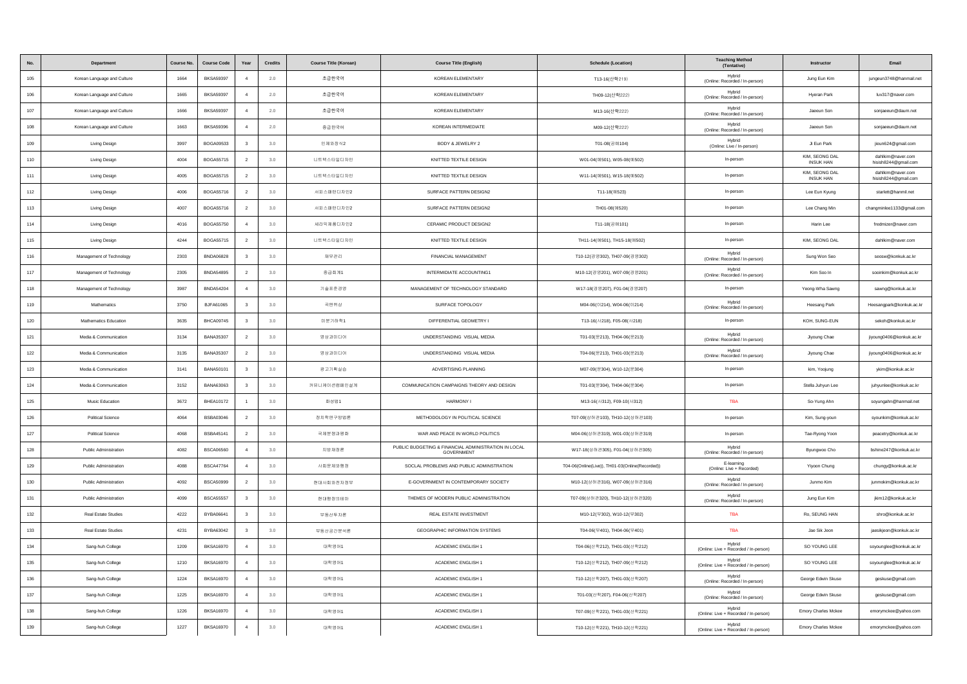|         | Department                   | <b>Course No</b> | <b>Course Code</b> | Year                    | Credits | <b>Course Title (Korean)</b> | <b>Course Title (English)</b>                                      | <b>Schedule (Location)</b>                      | <b>Teaching Method</b><br>(Tentative)           | Instructor                         | Email                                     |
|---------|------------------------------|------------------|--------------------|-------------------------|---------|------------------------------|--------------------------------------------------------------------|-------------------------------------------------|-------------------------------------------------|------------------------------------|-------------------------------------------|
| 105     | Korean Language and Culture  | 1664             | <b>BKSA59397</b>   |                         | 2.0     | 초급한국어                        | KOREAN ELEMENTARY                                                  | T13-16(산학219)                                   | Hybrid<br>(Online: Recorded / In-person)        | Jung Eun Kim                       | jungeun3748@hanmail.net                   |
| 106     | Korean Language and Culture  | 1665             | <b>BKSA59397</b>   | $\overline{a}$          | 2.0     | 초급한국어                        | KOREAN ELEMENTARY                                                  | TH09-12(산학222)                                  | Hybrid<br>(Online: Recorded / In-person)        | Hyeran Park                        | luv317@naver.com                          |
| $107\,$ | Korean Language and Culture  | 1666             | <b>BKSA59397</b>   | $\overline{4}$          | 2.0     | 초급한국어                        | KOREAN ELEMENTARY                                                  | M13-16(산학222)                                   | Hybrid<br>(Online: Recorded / In-person)        | Jaeeun Son                         | sonjaeeun@daum.net                        |
| 108     | Korean Language and Culture  | 1663             | <b>BKSA59396</b>   |                         | 2.0     | 중급한국어                        | KOREAN INTERMEDIATE                                                | M09-12(산학222)                                   | Hybrid<br>(Online: Recorded / In-person)        | Jaeeun Son                         | sonjaeeun@daum.net                        |
| 109     | Living Design                | 3997             | <b>BOGA09533</b>   | $\overline{\mathbf{3}}$ | 3.0     | 인체와장식2                       | BODY & JEWELRY 2                                                   | T01-08(공예104)                                   | Hybrid<br>(Online: Live / In-person)            | Ji Eun Park                        | jieun624@gmail.com                        |
| 110     | Living Design                | 4004             | BOGA55715          | $\overline{2}$          | 3.0     | 니트텍스타일디자인                    | KNITTED TEXTILE DESIGN                                             | W01-04(예501), W05-08(예502)                      | In-person                                       | KIM, SEONG DAL<br><b>INSUK HAN</b> | dahlkim@naver.com<br>hisish8244@gmail.com |
| 111     | Living Design                | 4005             | BOGA55715          | $\overline{2}$          | 3.0     | 니트텍스타일디자인                    | KNITTED TEXTILE DESIGN                                             | W11-14(예501), W15-18(예502)                      | In-person                                       | KIM, SEONG DAL<br><b>INSUK HAN</b> | dahlkim@naver.com<br>hisish8244@gmail.com |
| 112     | Living Design                | 4006             | <b>BOGA55716</b>   | $\overline{2}$          | 3.0     | 서피스패턴디자인2                    | SURFACE PATTERN DESIGN2                                            | T11-18(예523)                                    | In-person                                       | Lee Eun Kyung                      | starlett@hanmil.net                       |
| 113     | Living Design                | 4007             | BOGA55716          | $\overline{2}$          | 3.0     | 서피스패턴디자인2                    | SURFACE PATTERN DESIGN2                                            | TH01-08(예520)                                   | In-person                                       | Lee Chang Min                      | changminlee1133@gmail.com                 |
| 114     | Living Design                | 4016             | <b>BOGA55750</b>   | $\overline{4}$          | 3.0     | 세라믹제품디자인2                    | CERAMIC PRODUCT DESIGN2                                            | T11-18(공예101)                                   | In-person                                       | Harin Lee                          | fredmizer@naver.com                       |
| 115     | Living Design                | 4244             | BOGA55715          | $\overline{2}$          | $3.0\,$ | 니트텍스타일디자인                    | KNITTED TEXTILE DESIGN                                             | TH11-14(예501), TH15-18(예502)                    | In-person                                       | KIM, SEONG DAL                     | dahlkim@naver.com                         |
| 116     | Management of Technology     | 2303             | <b>BNDA06828</b>   | $\overline{\mathbf{3}}$ | 3.0     | 재무관리                         | FINANCIAL MANAGEMENT                                               | T10-12(경영302), TH07-09(경영302)                   | Hybrid<br>(Online: Recorded / In-person)        | Sung Won Seo                       | seosw@konkuk.ac.kr                        |
| 117     | Management of Technology     | 2305             | <b>BNDA54895</b>   | $\overline{2}$          | 3.0     | 중급회계1                        | INTERMIDIATE ACCOUNTING1                                           | M10-12(경영201), W07-09(경영201)                    | Hybrid<br>(Online: Recorded / In-person)        | Kim Soo In                         | sooinkim@konkuk.ac.kr                     |
| 118     | Management of Technology     | 3987             | <b>BNDA54204</b>   | $\overline{a}$          | 3.0     | 기술표준경영                       | MANAGEMENT OF TECHNOLOGY STANDARD                                  | W17-18(경영207), F01-04(경영207)                    | In-person                                       | Yeong-Wha Sawng                    | sawng@konkuk.ac.kr                        |
| 119     | Mathematics                  | 3750             | BJFA61065          | $\overline{\mathbf{3}}$ | 3.0     | 곡면위상                         | SURFACE TOPOLOGY                                                   | M04-06(0 214), W04-06(0 214)                    | Hybrid<br>(Online: Recorded / In-person)        | <b>Heesang Park</b>                | Heesangpark@konkuk.ac.kr                  |
| 120     | Mathematics Education        | 3635             | <b>BHCA09745</b>   | $\overline{\mathbf{3}}$ | 3.0     | 미분기하학1                       | DIFFERENTIAL GEOMETRY I                                            | T13-16( $\land$ 218), F05-08( $\land$ 218)      | In-person                                       | KOH, SUNG-EUN                      | sekoh@konkuk.ac.kr                        |
| 121     | Media & Communication        | 3134             | <b>BANA35307</b>   | $\overline{2}$          | 3.0     | 영상과미디어                       | UNDERSTANDING VISUAL MEDIA                                         | T01-03(문213), TH04-06(문213)                     | Hybrid<br>(Online: Recorded / In-person)        | Jiyoung Chae                       | jiyoung0406@konkuk.ac.kr                  |
| 122     | Media & Communication        | 3135             | <b>BANA35307</b>   | $\overline{2}$          | 3.0     | 영상과미디어                       | UNDERSTANDING VISUAL MEDIA                                         | T04-06(문213), TH01-03(문213)                     | Hybrid<br>(Online: Recorded / In-person)        | Jiyoung Chae                       | jiyoung0406@konkuk.ac.kr                  |
| 123     | Media & Communication        | 3141             | BANA50101          | $\overline{\mathbf{3}}$ | 3.0     | 광고기획실습                       | ADVERTISING PLANNING                                               | M07-09(문304), W10-12(문304)                      | In-person                                       | kim, Yoojung                       | ykim@konkuk.ac.kr                         |
| 124     | Media & Communication        | 3152             | BANA63063          | $\mathbf{3}$            | 3.0     | 커뮤니케이션캠페인설계                  | COMMUNICATION CAMPAIGNS THEORY AND DESIGN                          | T01-03( 문304), TH04-06( 문304)                   | In-person                                       | Stella Juhyun Lee                  | juhyunlee@konkuk.ac.kr                    |
| 125     | Music Education              | 3672             | <b>BHEA10172</b>   | $\overline{1}$          | 3.0     | 화성법1                         | <b>HARMONY</b>                                                     | M13-16(사312), F09-10(사312)                      | TBA                                             | So-Yung Ahn                        | soyungahn@hanmail.net                     |
| 126     | Political Science            | 4064             | <b>BSBA03046</b>   | $\overline{2}$          | 3.0     | 정치학연구방법론                     | METHODOLOGY IN POLITICAL SCIENCE                                   | T07-09(상허관103), TH10-12(상허관103)                 | In-person                                       | Kim, Sung-youn                     | syounkim@konkuk.ac.kr                     |
| 127     | <b>Political Science</b>     | 4068             | <b>BSBA45141</b>   | $\overline{2}$          | 3.0     | 국제분쟁과평화                      | WAR AND PEACE IN WORLD POLITICS                                    | M04-06(상허관319), W01-03(상허관319)                  | In-person                                       | Tae-Ryong Yoon                     | peacetry@konkuk.ac.kr                     |
| 128     | Public Administration        | 4082             | <b>BSCA06560</b>   |                         | 3.0     | 지방재정론                        | PUBLIC BUDGETING & FINANCIAL ADMINISTRATION IN LOCAL<br>GOVERNMENT | W17-18(상허관305), F01-04(상허관305)                  | Hybrid<br>(Online: Recorded / In-person)        | Byungwoo Cho                       | bshine247@konkuk.ac.kr                    |
| 129     | Public Administration        | 4088             | <b>BSCA47764</b>   |                         | 3.0     | 사회문제와행정                      | SOCLAL PROBLEMS AND PUBLIC ADMINSTRATION                           | T04-06(Online(Live)), TH01-03(Online(Recorded)) | E-learning<br>(Online: Live + Recorded)         | Yiyoon Chung                       | chungy@konkuk.ac.kr                       |
| 130     | <b>Public Administration</b> | 4092             | <b>BSCA50999</b>   | $\overline{2}$          | 3.0     | 현대사회와전자정부                    | E-GOVERNMENT IN CONTEMPORARY SOCIETY                               | M10-12(상허관316), W07-09(상허관316)                  | Hybrid<br>(Online: Recorded / In-person)        | Junmo Kim                          | junmokim@konkuk.ac.kr                     |
| 131     | Public Administration        | 4099             | <b>BSCA55557</b>   | $\mathbf{3}$            | 3.0     | 현대행정의테마                      | THEMES OF MODERN PUBLIC ADMINISTRATION                             | T07-09(상허관320), TH10-12(상허관320)                 | Hybrid<br>(Online: Recorded / In-person)        | Jung Eun Kim                       | ikim12@konkuk ac.kr                       |
| 132     | Real Estate Studies          | 4222             | BYBA06641          | $\overline{\mathbf{3}}$ | 3.0     | 부동산투자론                       | REAL ESTATE INVESTMENT                                             | M10-12(早302), W10-12(早302)                      | <b>TBA</b>                                      | Ro, SEUNG HAN                      | shro@konkuk.ac.kr                         |
| 133     | Real Estate Studies          | 4231             | BYBA63042          | $\overline{\mathbf{3}}$ | $3.0\,$ | 부동산공간분석론                     | GEOGRAPHIC INFORMATION SYSTEMS                                     | T04-06(부401), TH04-06(부401)                     | TBA                                             | Jae Sik Jeon                       | jaesikjeon@konkuk.ac.kr                   |
| 134     | Sang-huh College             | 1209             | <b>BKSA16970</b>   | $\overline{4}$          | 3.0     | 대학영어1                        | ACADEMIC ENGLISH 1                                                 | T04-06(산학212), TH01-03(산학212)                   | Hybrid<br>(Online: Live + Recorded / In-person) | SO YOUNG LEE                       | soyounglee@konkuk.ac.kr                   |
| 135     | Sang-huh College             | 1210             | <b>BKSA16970</b>   | $\overline{4}$          | 3.0     | 대학영어1                        | ACADEMIC ENGLISH 1                                                 | T10-12(산학212), TH07-09(산학212)                   | Hybrid<br>(Online: Live + Recorded / In-person) | SO YOUNG LEE                       | soyounglee@konkuk.ac.kr                   |
| 136     | Sang-huh College             | 1224             | <b>BKSA16970</b>   | $\overline{4}$          | 3.0     | 대학영어1                        | ACADEMIC ENGLISH 1                                                 | T10-12(산학207), TH01-03(산학207)                   | Hybrid<br>(Online: Recorded / In-person)        | George Edwin Skuse                 | geskuse@gmail.com                         |
| 137     | Sang-huh College             | 1225             | <b>BKSA16970</b>   | $\overline{4}$          | 3.0     | 대학영어1                        | ACADEMIC ENGLISH 1                                                 | T01-03(산학207), F04-06(산학207)                    | Hybrid<br>(Online: Recorded / In-person)        | George Edwin Skuse                 | geskuse@gmail.com                         |
| 138     | Sang-huh College             | 1226             | <b>BKSA16970</b>   | $\overline{4}$          | 3.0     | 대학영어1                        | ACADEMIC ENGLISH 1                                                 | T07-09(산학221), TH01-03(산학221)                   | Hybrid<br>(Online: Live + Recorded / In-person) | Emory Charles Mckee                | emorymckee@yahoo.com                      |
| 139     | Sang-huh College             | 1227             | <b>BKSA16970</b>   | $\overline{A}$          | 3.0     | 대학영어1                        | ACADEMIC ENGLISH 1                                                 | T10-12(산학221), TH10-12(산학221)                   | Hybrid<br>(Online: Live + Recorded / In-person) | Emory Charles Mckee                | emorymckee@yahoo.com                      |